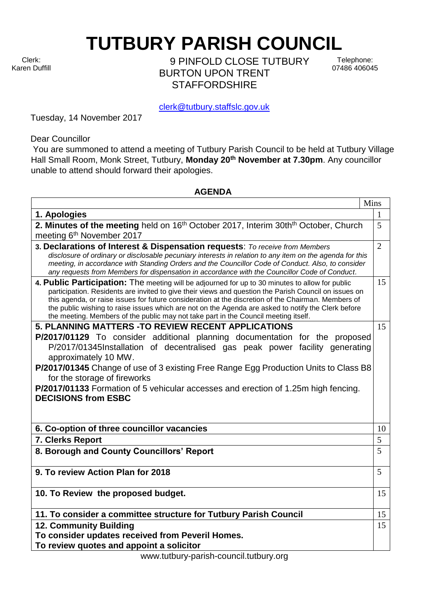Clerk: Karen Duffill **TUTBURY PARISH COUNCIL** 

9 PINFOLD CLOSE TUTBURY BURTON UPON TRENT **STAFFORDSHIRF** 

Telephone: 07486 406045

clerk@tutbury.staffslc.gov.uk

Tuesday, 14 November 2017

Dear Councillor

You are summoned to attend a meeting of Tutbury Parish Council to be held at Tutbury Village Hall Small Room, Monk Street, Tutbury, **Monday 20th November at 7.30pm**. Any councillor unable to attend should forward their apologies.

## **AGENDA**

|                                                                                                                                                                                                                                                                                                                                                                                                                                                                                                               | Mins           |
|---------------------------------------------------------------------------------------------------------------------------------------------------------------------------------------------------------------------------------------------------------------------------------------------------------------------------------------------------------------------------------------------------------------------------------------------------------------------------------------------------------------|----------------|
| 1. Apologies                                                                                                                                                                                                                                                                                                                                                                                                                                                                                                  | 1              |
| 2. Minutes of the meeting held on 16th October 2017, Interim 30thth October, Church                                                                                                                                                                                                                                                                                                                                                                                                                           |                |
| meeting 6 <sup>th</sup> November 2017                                                                                                                                                                                                                                                                                                                                                                                                                                                                         |                |
| 3. Declarations of Interest & Dispensation requests: To receive from Members                                                                                                                                                                                                                                                                                                                                                                                                                                  | $\overline{2}$ |
| disclosure of ordinary or disclosable pecuniary interests in relation to any item on the agenda for this<br>meeting, in accordance with Standing Orders and the Councillor Code of Conduct. Also, to consider                                                                                                                                                                                                                                                                                                 |                |
| any requests from Members for dispensation in accordance with the Councillor Code of Conduct.                                                                                                                                                                                                                                                                                                                                                                                                                 |                |
| 4. Public Participation: The meeting will be adjourned for up to 30 minutes to allow for public<br>participation. Residents are invited to give their views and question the Parish Council on issues on<br>this agenda, or raise issues for future consideration at the discretion of the Chairman. Members of<br>the public wishing to raise issues which are not on the Agenda are asked to notify the Clerk before<br>the meeting. Members of the public may not take part in the Council meeting itself. | 15             |
| 5. PLANNING MATTERS - TO REVIEW RECENT APPLICATIONS                                                                                                                                                                                                                                                                                                                                                                                                                                                           | 15             |
| P/2017/01129 To consider additional planning documentation for the proposed                                                                                                                                                                                                                                                                                                                                                                                                                                   |                |
| P/2017/01345Installation of decentralised gas peak power facility generating                                                                                                                                                                                                                                                                                                                                                                                                                                  |                |
| approximately 10 MW.                                                                                                                                                                                                                                                                                                                                                                                                                                                                                          |                |
| P/2017/01345 Change of use of 3 existing Free Range Egg Production Units to Class B8                                                                                                                                                                                                                                                                                                                                                                                                                          |                |
| for the storage of fireworks                                                                                                                                                                                                                                                                                                                                                                                                                                                                                  |                |
| P/2017/01133 Formation of 5 vehicular accesses and erection of 1.25m high fencing.                                                                                                                                                                                                                                                                                                                                                                                                                            |                |
| <b>DECISIONS from ESBC</b>                                                                                                                                                                                                                                                                                                                                                                                                                                                                                    |                |
|                                                                                                                                                                                                                                                                                                                                                                                                                                                                                                               |                |
| 6. Co-option of three councillor vacancies                                                                                                                                                                                                                                                                                                                                                                                                                                                                    | 10             |
| 7. Clerks Report                                                                                                                                                                                                                                                                                                                                                                                                                                                                                              | 5              |
| 8. Borough and County Councillors' Report                                                                                                                                                                                                                                                                                                                                                                                                                                                                     |                |
|                                                                                                                                                                                                                                                                                                                                                                                                                                                                                                               |                |
| 9. To review Action Plan for 2018                                                                                                                                                                                                                                                                                                                                                                                                                                                                             |                |
|                                                                                                                                                                                                                                                                                                                                                                                                                                                                                                               |                |
| 10. To Review the proposed budget.                                                                                                                                                                                                                                                                                                                                                                                                                                                                            | 15             |
|                                                                                                                                                                                                                                                                                                                                                                                                                                                                                                               | 15             |
| 11. To consider a committee structure for Tutbury Parish Council                                                                                                                                                                                                                                                                                                                                                                                                                                              |                |
| <b>12. Community Building</b>                                                                                                                                                                                                                                                                                                                                                                                                                                                                                 |                |
| To consider updates received from Peveril Homes.                                                                                                                                                                                                                                                                                                                                                                                                                                                              |                |
| To review quotes and appoint a solicitor                                                                                                                                                                                                                                                                                                                                                                                                                                                                      |                |

www.tutbury-parish-council.tutbury.org